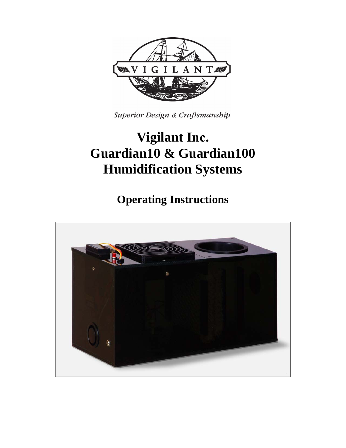

Superior Design & Craftsmanship

# **Vigilant Inc. Guardian10 & Guardian100 Humidification Systems**

**Operating Instructions**

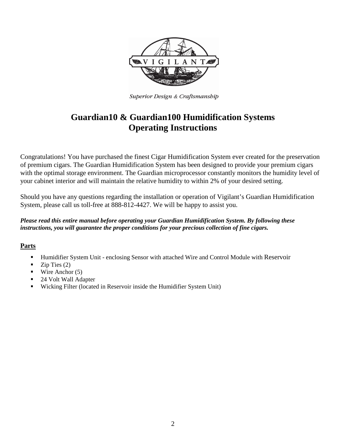

Superior Design & Craftsmanship

# **Guardian10 & Guardian100 Humidification Systems Operating Instructions**

Congratulations! You have purchased the finest Cigar Humidification System ever created for the preservation of premium cigars. The Guardian Humidification System has been designed to provide your premium cigars with the optimal storage environment. The Guardian microprocessor constantly monitors the humidity level of your cabinet interior and will maintain the relative humidity to within 2% of your desired setting.

Should you have any questions regarding the installation or operation of Vigilant's Guardian Humidification System, please call us toll-free at 888-812-4427. We will be happy to assist you.

#### *Please read this entire manual before operating your Guardian Humidification System. By following these instructions, you will guarantee the proper conditions for your precious collection of fine cigars.*

# **Parts**

- Humidifier System Unit enclosing Sensor with attached Wire and Control Module with Reservoir
- Zip Ties (2)
- $\blacksquare$  Wire Anchor (5)
- 24 Volt Wall Adapter
- Wicking Filter (located in Reservoir inside the Humidifier System Unit)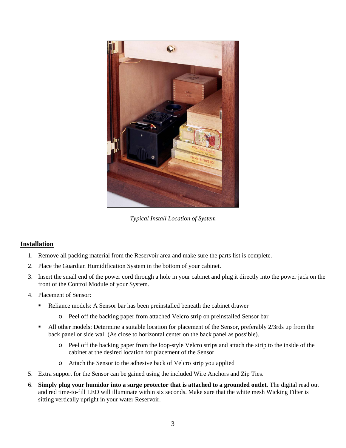

*Typical Install Location of System* 

# **Installation**

- 1. Remove all packing material from the Reservoir area and make sure the parts list is complete.
- 2. Place the Guardian Humidification System in the bottom of your cabinet.
- 3. Insert the small end of the power cord through a hole in your cabinet and plug it directly into the power jack on the front of the Control Module of your System.
- 4. Placement of Sensor:
	- Reliance models: A Sensor bar has been preinstalled beneath the cabinet drawer
		- o Peel off the backing paper from attached Velcro strip on preinstalled Sensor bar
	- All other models: Determine a suitable location for placement of the Sensor, preferably 2/3rds up from the back panel or side wall (As close to horizontal center on the back panel as possible).
		- o Peel off the backing paper from the loop-style Velcro strips and attach the strip to the inside of the cabinet at the desired location for placement of the Sensor
		- o Attach the Sensor to the adhesive back of Velcro strip you applied
- 5. Extra support for the Sensor can be gained using the included Wire Anchors and Zip Ties.
- 6. **Simply plug your humidor into a surge protector that is attached to a grounded outlet**. The digital read out and red time-to-fill LED will illuminate within six seconds. Make sure that the white mesh Wicking Filter is sitting vertically upright in your water Reservoir.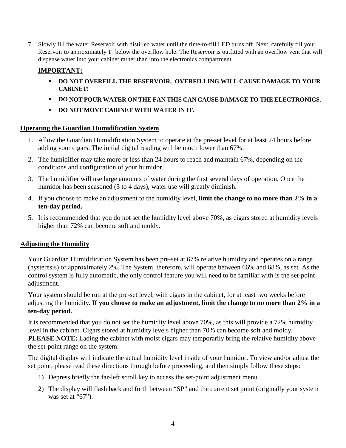7. Slowly fill the water Reservoir with distilled water until the time-to-fill LED turns off. Next, carefully fill your Reservoir to approximately 1" below the overflow hole. The Reservoir is outfitted with an overflow vent that will dispense water into your cabinet rather than into the electronics compartment.

# **IMPORTANT:**

- **DO NOT OVERFILL THE RESERVOIR, OVERFILLING WILL CAUSE DAMAGE TO YOUR CABINET!**
- **DO NOT POUR WATER ON THE FAN THIS CAN CAUSE DAMAGE TO THE ELECTRONICS.**
- **DO NOT MOVE CABINET WITH WATER IN IT.**

# **Operating the Guardian Humidification System**

- 1. Allow the Guardian Humidification System to operate at the pre-set level for at least 24 hours before adding your cigars. The initial digital reading will be much lower than 67%.
- 2. The humidifier may take more or less than 24 hours to reach and maintain 67%, depending on the conditions and configuration of your humidor.
- 3. The humidifier will use large amounts of water during the first several days of operation. Once the humidor has been seasoned (3 to 4 days), water use will greatly diminish.
- 4. If you choose to make an adjustment to the humidity level, **limit the change to no more than 2% in a ten-day period.**
- 5. It is recommended that you do not set the humidity level above 70%, as cigars stored at humidity levels higher than 72% can become soft and moldy.

# **Adjusting the Humidity**

Your Guardian Humidification System has been pre-set at 67% relative humidity and operates on a range (hysteresis) of approximately 2%. The System, therefore, will operate between 66% and 68%, as set. As the control system is fully automatic, the only control feature you will need to be familiar with is the set-point adjustment.

Your system should be run at the pre-set level, with cigars in the cabinet, for at least two weeks before adjusting the humidity. **If you choose to make an adjustment, limit the change to no more than 2% in a ten-day period.** 

It is recommended that you do not set the humidity level above 70%, as this will provide a 72% humidity level in the cabinet. Cigars stored at humidity levels higher than 70% can become soft and moldy. **PLEASE NOTE:** Lading the cabinet with moist cigars may temporarily bring the relative humidity above the set-point range on the system.

The digital display will indicate the actual humidity level inside of your humidor. To view and/or adjust the set point, please read these directions through before proceeding, and then simply follow these steps:

- 1) Depress briefly the far-left scroll key to access the set-point adjustment menu.
- 2) The display will flash back and forth between "SP" and the current set point (originally your system was set at "67").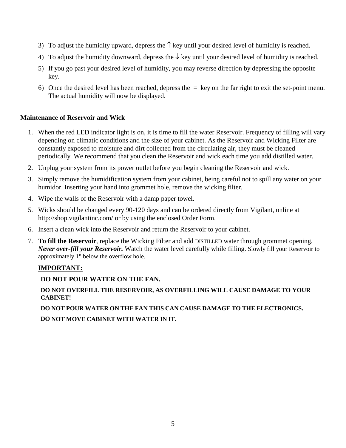- 3) To adjust the humidity upward, depress the  $\uparrow$  key until your desired level of humidity is reached.
- 4) To adjust the humidity downward, depress the  $\downarrow$  key until your desired level of humidity is reached.
- 5) If you go past your desired level of humidity, you may reverse direction by depressing the opposite key.
- 6) Once the desired level has been reached, depress the  $=$  key on the far right to exit the set-point menu. The actual humidity will now be displayed.

#### **Maintenance of Reservoir and Wick**

- 1. When the red LED indicator light is on, it is time to fill the water Reservoir. Frequency of filling will vary depending on climatic conditions and the size of your cabinet. As the Reservoir and Wicking Filter are constantly exposed to moisture and dirt collected from the circulating air, they must be cleaned periodically. We recommend that you clean the Reservoir and wick each time you add distilled water.
- 2. Unplug your system from its power outlet before you begin cleaning the Reservoir and wick.
- 3. Simply remove the humidification system from your cabinet, being careful not to spill any water on your humidor. Inserting your hand into grommet hole, remove the wicking filter.
- 4. Wipe the walls of the Reservoir with a damp paper towel.
- 5. Wicks should be changed every 90-120 days and can be ordered directly from Vigilant, online at http://shop.vigilantinc.com/ or by using the enclosed Order Form.
- 6. Insert a clean wick into the Reservoir and return the Reservoir to your cabinet.
- 7. **To fill the Reservoir**, replace the Wicking Filter and add DISTILLED water through grommet opening. *Never over-fill your Reservoir.* Watch the water level carefully while filling. Slowly fill your Reservoir to approximately 1" below the overflow hole.

# **IMPORTANT:**

# **DO NOT POUR WATER ON THE FAN.**

#### **DO NOT OVERFILL THE RESERVOIR, AS OVERFILLING WILL CAUSE DAMAGE TO YOUR CABINET!**

**DO NOT POUR WATER ON THE FAN THIS CAN CAUSE DAMAGE TO THE ELECTRONICS. DO NOT MOVE CABINET WITH WATER IN IT.**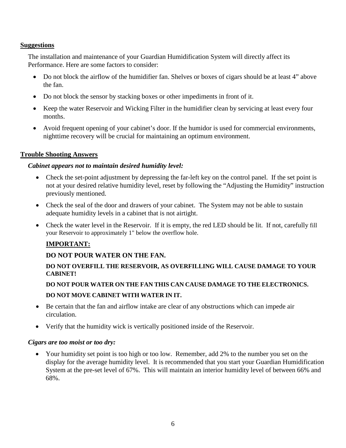#### **Suggestions**

The installation and maintenance of your Guardian Humidification System will directly affect its Performance. Here are some factors to consider:

- Do not block the airflow of the humidifier fan. Shelves or boxes of cigars should be at least 4" above the fan.
- Do not block the sensor by stacking boxes or other impediments in front of it.
- Keep the water Reservoir and Wicking Filter in the humidifier clean by servicing at least every four months.
- Avoid frequent opening of your cabinet's door. If the humidor is used for commercial environments, nighttime recovery will be crucial for maintaining an optimum environment.

# **Trouble Shooting Answers**

#### *Cabinet appears not to maintain desired humidity level:*

- Check the set-point adjustment by depressing the far-left key on the control panel. If the set point is not at your desired relative humidity level, reset by following the "Adjusting the Humidity" instruction previously mentioned.
- Check the seal of the door and drawers of your cabinet. The System may not be able to sustain adequate humidity levels in a cabinet that is not airtight.
- Check the water level in the Reservoir. If it is empty, the red LED should be lit. If not, carefully fill your Reservoir to approximately 1" below the overflow hole.

# **IMPORTANT:**

# **DO NOT POUR WATER ON THE FAN.**

# **DO NOT OVERFILL THE RESERVOIR, AS OVERFILLING WILL CAUSE DAMAGE TO YOUR CABINET!**

**DO NOT POUR WATER ON THE FAN THIS CAN CAUSE DAMAGE TO THE ELECTRONICS. DO NOT MOVE CABINET WITH WATER IN IT.**

- Be certain that the fan and airflow intake are clear of any obstructions which can impede air circulation.
- Verify that the humidity wick is vertically positioned inside of the Reservoir.

#### *Cigars are too moist or too dry:*

• Your humidity set point is too high or too low. Remember, add 2% to the number you set on the display for the average humidity level. It is recommended that you start your Guardian Humidification System at the pre-set level of 67%. This will maintain an interior humidity level of between 66% and 68%.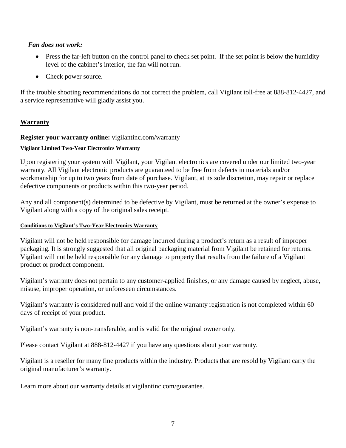#### *Fan does not work:*

- Press the far-left button on the control panel to check set point. If the set point is below the humidity level of the cabinet's interior, the fan will not run.
- Check power source.

If the trouble shooting recommendations do not correct the problem, call Vigilant toll-free at 888-812-4427, and a service representative will gladly assist you.

# **Warranty**

#### **Register your warranty online:** vigilantinc.com/warranty

#### **Vigilant Limited Two-Year Electronics Warranty**

Upon registering your system with Vigilant, your Vigilant electronics are covered under our limited two-year warranty. All Vigilant electronic products are guaranteed to be free from defects in materials and/or workmanship for up to two years from date of purchase. Vigilant, at its sole discretion, may repair or replace defective components or products within this two-year period.

Any and all component(s) determined to be defective by Vigilant, must be returned at the owner's expense to Vigilant along with a copy of the original sales receipt.

#### **Conditions to Vigilant's Two-Year Electronics Warranty**

Vigilant will not be held responsible for damage incurred during a product's return as a result of improper packaging. It is strongly suggested that all original packaging material from Vigilant be retained for returns. Vigilant will not be held responsible for any damage to property that results from the failure of a Vigilant product or product component.

Vigilant's warranty does not pertain to any customer-applied finishes, or any damage caused by neglect, abuse, misuse, improper operation, or unforeseen circumstances.

Vigilant's warranty is considered null and void if the online warranty registration is not completed within 60 days of receipt of your product.

Vigilant's warranty is non-transferable, and is valid for the original owner only.

Please contact Vigilant at 888-812-4427 if you have any questions about your warranty.

Vigilant is a reseller for many fine products within the industry. Products that are resold by Vigilant carry the original manufacturer's warranty.

Learn more about our warranty details at vigilantinc.com/guarantee.